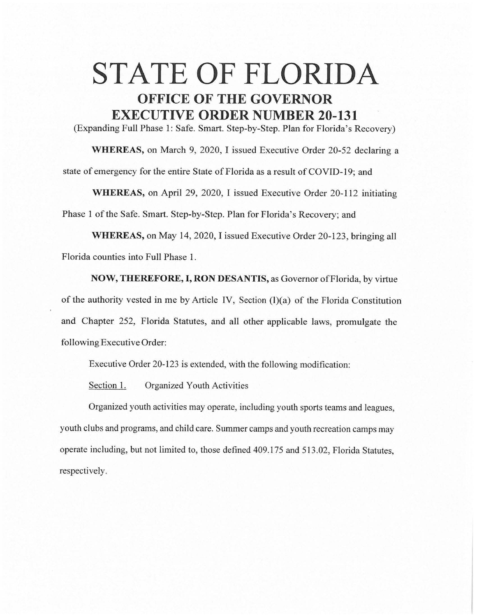## **STATE OF FLORIDA OFFICE OF THE GOVERNOR EXECUTIVE ORDER NUMBER 20-131**

(Expanding Full Phase 1: Safe. Smart. Step-by-Step. Plan for Florida's Recovery)

**WHEREAS,** on March 9, 2020, I issued Executive Order 20-52 declaring a state of emergency for the entire State of Florida as a result of COVID-19; and

**WHEREAS,** on April 29, 2020, I issued Executive Order 20-112 initiating Phase 1 of the Safe. Smart. Step-by-Step. Plan for Florida's Recovery; and

**WHEREAS,** on May 14, 2020, I issued Executive Order 20-123, bringing all Florida counties into Full Phase 1.

**NOW, THEREFORE, I, RON DESANTIS,** as Governor of Florida, by virtue of the authority vested in me by Article IV, Section  $(1)(a)$  of the Florida Constitution and Chapter 252, Florida Statutes, and all other applicable laws, promulgate the following Executive Order:

Executive Order 20-123 is extended, with the following modification:

Section 1. Organized Youth Activities

Organized youth activities may operate, including youth sports teams and leagues, youth clubs and programs, and child care. Summer camps and youth recreation camps may operate including, but not limited to, those defined 409.175 and 513.02, Florida Statutes, respectively.